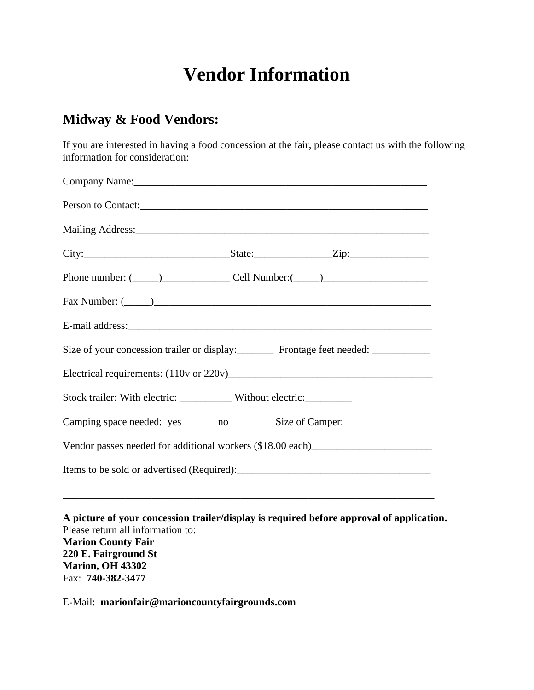## **Vendor Information**

## **Midway & Food Vendors:**

If you are interested in having a food concession at the fair, please contact us with the following information for consideration:

|                                                                                   | Company Name: 2008 Company Name:                                                 |  |
|-----------------------------------------------------------------------------------|----------------------------------------------------------------------------------|--|
|                                                                                   |                                                                                  |  |
|                                                                                   |                                                                                  |  |
|                                                                                   | City: $\qquad \qquad \text{State:} \qquad \qquad \text{Zip:}$                    |  |
|                                                                                   | Phone number: $(\_\_)$ Cell Number: $(\_\_)$                                     |  |
|                                                                                   |                                                                                  |  |
|                                                                                   |                                                                                  |  |
| Size of your concession trailer or display: Frontage feet needed: ______________  |                                                                                  |  |
|                                                                                   |                                                                                  |  |
| Stock trailer: With electric: ____________ Without electric: __________           |                                                                                  |  |
|                                                                                   | Camping space needed: yes ______ no_______ Size of Camper:______________________ |  |
| Vendor passes needed for additional workers (\$18.00 each)_______________________ |                                                                                  |  |
|                                                                                   |                                                                                  |  |

**A picture of your concession trailer/display is required before approval of application.** Please return all information to: **Marion County Fair 220 E. Fairground St Marion, OH 43302**  Fax: **740-382-3477**

E-Mail: **marionfair@marioncountyfairgrounds.com**